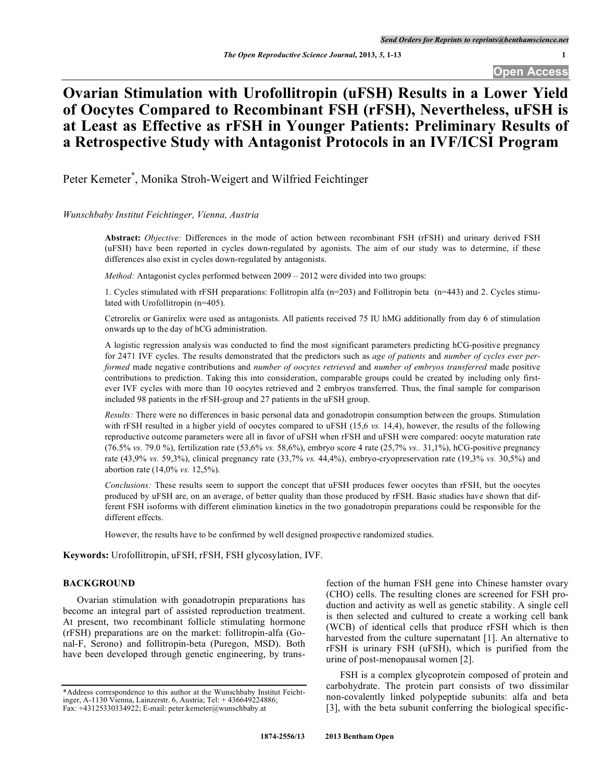### **Ovarian Stimulation with Urofollitropin (uFSH) Results in a Lower Yield of Oocytes Compared to Recombinant FSH (rFSH), Nevertheless, uFSH is at Least as Effective as rFSH in Younger Patients: Preliminary Results of a Retrospective Study with Antagonist Protocols in an IVF/ICSI Program**

Peter Kemeter \* , Monika Stroh-Weigert and Wilfried Feichtinger

### *Wunschbaby Institut Feichtinger, Vienna, Austria*

**Abstract:** *Objective:* Differences in the mode of action between recombinant FSH (rFSH) and urinary derived FSH (uFSH) have been reported in cycles down-regulated by agonists. The aim of our study was to determine, if these differences also exist in cycles down-regulated by antagonists.

*Method:* Antagonist cycles performed between 2009 – 2012 were divided into two groups:

1. Cycles stimulated with rFSH preparations: Follitropin alfa (n=203) and Follitropin beta (n=443) and 2. Cycles stimulated with Urofollitropin (n=405).

Cetrorelix or Ganirelix were used as antagonists. All patients received 75 IU hMG additionally from day 6 of stimulation onwards up to the day of hCG administration.

A logistic regression analysis was conducted to find the most significant parameters predicting hCG-positive pregnancy for 2471 IVF cycles. The results demonstrated that the predictors such as *age of patients* and *number of cycles ever performed* made negative contributions and *number of oocytes retrieved* and *number of embryos transferred* made positive contributions to prediction. Taking this into consideration, comparable groups could be created by including only firstever IVF cycles with more than 10 oocytes retrieved and 2 embryos transferred. Thus, the final sample for comparison included 98 patients in the rFSH-group and 27 patients in the uFSH group.

*Results:* There were no differences in basic personal data and gonadotropin consumption between the groups. Stimulation with rFSH resulted in a higher yield of oocytes compared to uFSH (15,6 *vs.* 14,4), however, the results of the following reproductive outcome parameters were all in favor of uFSH when rFSH and uFSH were compared: oocyte maturation rate (76.5% *vs.* 79.0 %), fertilization rate (53,6% *vs.* 58,6%), embryo score 4 rate (25,7% *vs..* 31,1%), hCG-positive pregnancy rate (43,9% *vs.* 59,3%), clinical pregnancy rate (33,7% *vs.* 44,4%), embryo-cryopreservation rate (19,3% *vs.* 30,5%) and abortion rate (14,0% *vs.* 12,5%).

*Conclusions:* These results seem to support the concept that uFSH produces fewer oocytes than rFSH, but the oocytes produced by uFSH are, on an average, of better quality than those produced by rFSH. Basic studies have shown that different FSH isoforms with different elimination kinetics in the two gonadotropin preparations could be responsible for the different effects.

However, the results have to be confirmed by well designed prospective randomized studies.

**Keywords:** Urofollitropin, uFSH, rFSH, FSH glycosylation, IVF.

### **BACKGROUND**

Ovarian stimulation with gonadotropin preparations has become an integral part of assisted reproduction treatment. At present, two recombinant follicle stimulating hormone (rFSH) preparations are on the market: follitropin-alfa (Gonal-F, Serono) and follitropin-beta (Puregon, MSD). Both have been developed through genetic engineering, by transfection of the human FSH gene into Chinese hamster ovary (CHO) cells. The resulting clones are screened for FSH production and activity as well as genetic stability. A single cell is then selected and cultured to create a working cell bank (WCB) of identical cells that produce rFSH which is then harvested from the culture supernatant [1]. An alternative to rFSH is urinary FSH (uFSH), which is purified from the urine of post-menopausal women [2].

FSH is a complex glycoprotein composed of protein and carbohydrate. The protein part consists of two dissimilar non-covalently linked polypeptide subunits: alfa and beta [3], with the beta subunit conferring the biological specific-

<sup>\*</sup>Address correspondence to this author at the Wunschbaby Institut Feichtinger, A-1130 Vienna, Lainzerstr. 6, Austria; Tel: + 436649224886; Fax: +43125330334922; E-mail: peter.kemeter@wunschbaby.at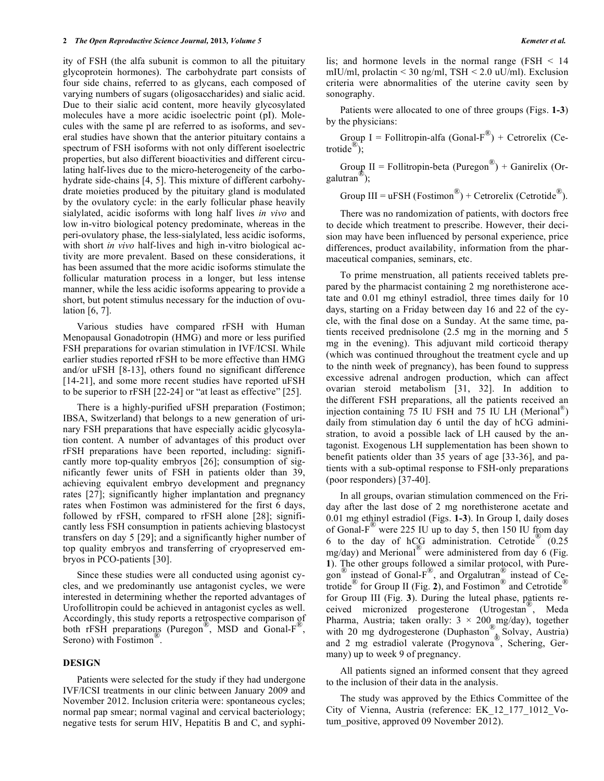ity of FSH (the alfa subunit is common to all the pituitary glycoprotein hormones). The carbohydrate part consists of four side chains, referred to as glycans, each composed of varying numbers of sugars (oligosaccharides) and sialic acid. Due to their sialic acid content, more heavily glycosylated molecules have a more acidic isoelectric point (pI). Molecules with the same pI are referred to as isoforms, and several studies have shown that the anterior pituitary contains a spectrum of FSH isoforms with not only different isoelectric properties, but also different bioactivities and different circulating half-lives due to the micro-heterogeneity of the carbohydrate side-chains [4, 5]. This mixture of different carbohydrate moieties produced by the pituitary gland is modulated by the ovulatory cycle: in the early follicular phase heavily sialylated, acidic isoforms with long half lives *in vivo* and low in-vitro biological potency predominate, whereas in the peri-ovulatory phase, the less-sialylated, less acidic isoforms, with short *in vivo* half-lives and high in-vitro biological activity are more prevalent. Based on these considerations, it has been assumed that the more acidic isoforms stimulate the follicular maturation process in a longer, but less intense manner, while the less acidic isoforms appearing to provide a short, but potent stimulus necessary for the induction of ovulation [6, 7].

Various studies have compared rFSH with Human Menopausal Gonadotropin (HMG) and more or less purified FSH preparations for ovarian stimulation in IVF/ICSI. While earlier studies reported rFSH to be more effective than HMG and/or uFSH [8-13], others found no significant difference [14-21], and some more recent studies have reported uFSH to be superior to rFSH [22-24] or "at least as effective" [25].

There is a highly-purified uFSH preparation (Fostimon; IBSA, Switzerland) that belongs to a new generation of urinary FSH preparations that have especially acidic glycosylation content. A number of advantages of this product over rFSH preparations have been reported, including: significantly more top-quality embryos [26]; consumption of significantly fewer units of FSH in patients older than 39, achieving equivalent embryo development and pregnancy rates [27]; significantly higher implantation and pregnancy rates when Fostimon was administered for the first 6 days, followed by rFSH, compared to rFSH alone [28]; significantly less FSH consumption in patients achieving blastocyst transfers on day 5 [29]; and a significantly higher number of top quality embryos and transferring of cryopreserved embryos in PCO-patients [30].

Since these studies were all conducted using agonist cycles, and we predominantly use antagonist cycles, we were interested in determining whether the reported advantages of Urofollitropin could be achieved in antagonist cycles as well. Accordingly, this study reports a retrospective comparison of both rFSH preparations (Puregon<sup>®</sup>, MSD and Gonal-F<sup>®</sup>, Serono) with Fostimon<sup>®</sup>.

#### **DESIGN**

Patients were selected for the study if they had undergone IVF/ICSI treatments in our clinic between January 2009 and November 2012. Inclusion criteria were: spontaneous cycles; normal pap smear; normal vaginal and cervical bacteriology; negative tests for serum HIV, Hepatitis B and C, and syphilis; and hormone levels in the normal range (FSH  $\leq$  14 mIU/ml, prolactin  $\leq$  30 ng/ml, TSH  $\leq$  2.0 uU/ml). Exclusion criteria were abnormalities of the uterine cavity seen by sonography.

Patients were allocated to one of three groups (Figs. **1-3**) by the physicians:

Group I = Follitropin-alfa (Gonal- $F^{\textcircled{B}}$ ) + Cetrorelix (Cetrotide ®);

Group II = Follitropin-beta (Puregon<sup>®</sup>) + Ganirelix (Orgalutran ®);

Group III = uFSH (Fostimon<sup>®</sup>) + Cetrorelix (Cetrotide<sup>®</sup>).

There was no randomization of patients, with doctors free to decide which treatment to prescribe. However, their decision may have been influenced by personal experience, price differences, product availability, information from the pharmaceutical companies, seminars, etc.

To prime menstruation, all patients received tablets prepared by the pharmacist containing 2 mg norethisterone acetate and 0.01 mg ethinyl estradiol, three times daily for 10 days, starting on a Friday between day 16 and 22 of the cycle, with the final dose on a Sunday. At the same time, patients received prednisolone (2.5 mg in the morning and 5 mg in the evening). This adjuvant mild corticoid therapy (which was continued throughout the treatment cycle and up to the ninth week of pregnancy), has been found to suppress excessive adrenal androgen production, which can affect ovarian steroid metabolism [31, 32]. In addition to the different FSH preparations, all the patients received an injection containing 75 IU FSH and 75 IU LH (Merional ®) daily from stimulation day 6 until the day of hCG administration, to avoid a possible lack of LH caused by the antagonist. Exogenous LH supplementation has been shown to benefit patients older than 35 years of age [33-36], and patients with a sub-optimal response to FSH-only preparations (poor responders) [37-40].

In all groups, ovarian stimulation commenced on the Friday after the last dose of 2 mg norethisterone acetate and 0.01 mg ethinyl estradiol (Figs. **1-3**). In Group I, daily doses of Gonal-F<sup>®</sup> were 225 IU up to day 5, then 150 IU from day 6 to the day of  $hCG$  administration. Cetrotide  $(0.25$  $\frac{1}{\text{mg/day}}$  and Merional<sup>®</sup> were administered from day 6 (Fig. **1**). The other groups followed a similar protocol, with Puregon  $\degree$  instead of Gonal-F $\degree$ , and Orgalutran instead of Cetrotide ® for Group II (Fig. **2**), and Fostimon ® and Cetrotide ® for Group III (Fig. **3**). During the luteal phase, patients received micronized progesterone (Utrogestan<sup>®</sup>, Meda Pharma, Austria; taken orally:  $3 \times 200$  mg/day), together with 20 mg dydrogesterone (Duphaston<sup>®</sup>, Solvay, Austria) and 2 mg estradiol valerate (Progynova<sup>®</sup>, Schering, Germany) up to week 9 of pregnancy.

All patients signed an informed consent that they agreed to the inclusion of their data in the analysis.

The study was approved by the Ethics Committee of the City of Vienna, Austria (reference: EK\_12\_177\_1012\_Votum positive, approved 09 November 2012).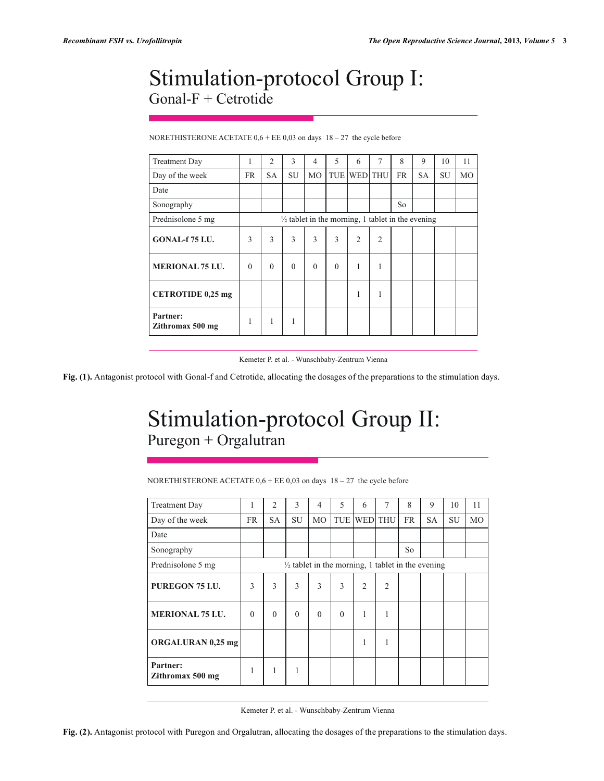## Stimulation-protocol Group I: Gonal-F + Cetrotide

| NORETHISTERONE ACETATE $0.6 + EE$ 0.03 on days $18 - 27$ the cycle before |  |
|---------------------------------------------------------------------------|--|
|---------------------------------------------------------------------------|--|

| <b>Treatment Day</b>         |          | $\overline{c}$ | 3        | 4              | 5        | 6                                                            | 7              | 8  | 9  | 10        | 11 |
|------------------------------|----------|----------------|----------|----------------|----------|--------------------------------------------------------------|----------------|----|----|-----------|----|
| Day of the week              | FR       | SA             | SU       | M <sub>O</sub> | TUE      | <b>WED</b> THU                                               |                | FR | SA | <b>SU</b> | MO |
| Date                         |          |                |          |                |          |                                                              |                |    |    |           |    |
| Sonography                   |          |                |          |                |          |                                                              |                | So |    |           |    |
| Prednisolone 5 mg            |          |                |          |                |          | $\frac{1}{2}$ tablet in the morning, 1 tablet in the evening |                |    |    |           |    |
| <b>GONAL-f 75 I.U.</b>       | 3        | 3              | 3        | 3              | 3        | $\overline{2}$                                               | $\overline{2}$ |    |    |           |    |
| <b>MERIONAL 75 I.U.</b>      | $\Omega$ | $\theta$       | $\Omega$ | $\theta$       | $\Omega$ | 1                                                            | $\mathbf{1}$   |    |    |           |    |
| <b>CETROTIDE 0,25 mg</b>     |          |                |          |                |          | 1                                                            | 1              |    |    |           |    |
| Partner:<br>Zithromax 500 mg |          | 1              | 1        |                |          |                                                              |                |    |    |           |    |

Kemeter P. et al. - Wunschbaby-Zentrum Vienna

**Fig. (1).** Antagonist protocol with Gonal-f and Cetrotide, allocating the dosages of the preparations to the stimulation days.

# Stimulation-protocol Group II: Puregon + Orgalutran

NORETHISTERONE ACETATE  $0.6 + EE$  0.03 on days  $18 - 27$  the cycle before

| <b>Treatment Day</b>         | 1         | $\overline{c}$ | 3         | 4         | 5        | 6                                                            | $\overline{7}$ | 8         | 9         | 10        | 11        |
|------------------------------|-----------|----------------|-----------|-----------|----------|--------------------------------------------------------------|----------------|-----------|-----------|-----------|-----------|
| Day of the week              | <b>FR</b> | <b>SA</b>      | <b>SU</b> | <b>MO</b> | TUE      |                                                              | <b>WED</b> THU | <b>FR</b> | <b>SA</b> | <b>SU</b> | <b>MO</b> |
| Date                         |           |                |           |           |          |                                                              |                |           |           |           |           |
| Sonography                   |           |                |           |           |          |                                                              |                | So        |           |           |           |
| Prednisolone 5 mg            |           |                |           |           |          | $\frac{1}{2}$ tablet in the morning, 1 tablet in the evening |                |           |           |           |           |
| PUREGON 75 I.U.              | 3         | 3              | 3         | 3         | 3        | $\overline{2}$                                               | $\overline{2}$ |           |           |           |           |
| <b>MERIONAL 75 I.U.</b>      | $\Omega$  | $\Omega$       | $\Omega$  | $\theta$  | $\theta$ | 1                                                            | 1              |           |           |           |           |
| <b>ORGALURAN 0,25 mg</b>     |           |                |           |           |          | 1                                                            | 1              |           |           |           |           |
| Partner:<br>Zithromax 500 mg |           | 1              | 1         |           |          |                                                              |                |           |           |           |           |

Kemeter P. et al. - Wunschbaby-Zentrum Vienna

**Fig. (2).** Antagonist protocol with Puregon and Orgalutran, allocating the dosages of the preparations to the stimulation days.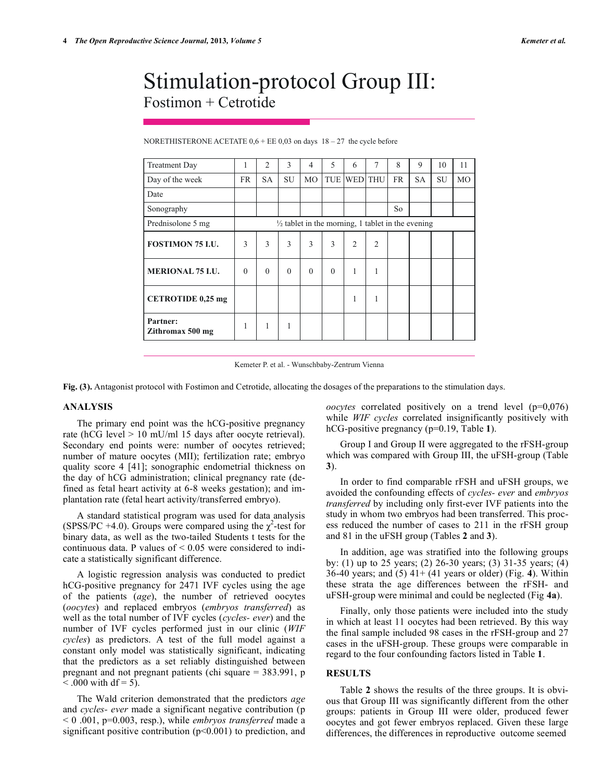### Stimulation-protocol Group III: Fostimon + Cetrotide

| <b>Treatment Day</b>         | 1        | $\overline{c}$ | 3        | $\overline{4}$ | 5        | 6                                                            | 7              | 8         | 9         | 10 | 11 |
|------------------------------|----------|----------------|----------|----------------|----------|--------------------------------------------------------------|----------------|-----------|-----------|----|----|
| Day of the week              | FR       | <b>SA</b>      | SU       | MO             |          | TUE WED THU                                                  |                | <b>FR</b> | <b>SA</b> | SU | МO |
| Date                         |          |                |          |                |          |                                                              |                |           |           |    |    |
| Sonography                   |          |                |          |                |          |                                                              |                | So        |           |    |    |
| Prednisolone 5 mg            |          |                |          |                |          | $\frac{1}{2}$ tablet in the morning, 1 tablet in the evening |                |           |           |    |    |
| <b>FOSTIMON 75 I.U.</b>      | 3        | 3              | 3        | 3              | 3        | $\overline{2}$                                               | $\overline{2}$ |           |           |    |    |
| <b>MERIONAL 75 I.U.</b>      | $\Omega$ | $\theta$       | $\theta$ | $\theta$       | $\theta$ | 1                                                            | 1              |           |           |    |    |
| <b>CETROTIDE 0,25 mg</b>     |          |                |          |                |          | 1                                                            | 1              |           |           |    |    |
| Partner:<br>Zithromax 500 mg | 1        | 1              | 1        |                |          |                                                              |                |           |           |    |    |

NORETHISTERONE ACETATE  $0.6 + EE$  0.03 on days  $18 - 27$  the cycle before

Kemeter P. et al. - Wunschbaby-Zentrum Vienna

**Fig. (3).** Antagonist protocol with Fostimon and Cetrotide, allocating the dosages of the preparations to the stimulation days.

#### **ANALYSIS**

The primary end point was the hCG-positive pregnancy rate (hCG level > 10 mU/ml 15 days after oocyte retrieval). Secondary end points were: number of oocytes retrieved; number of mature oocytes (MII); fertilization rate; embryo quality score 4 [41]; sonographic endometrial thickness on the day of hCG administration; clinical pregnancy rate (defined as fetal heart activity at 6-8 weeks gestation); and implantation rate (fetal heart activity/transferred embryo).

A standard statistical program was used for data analysis (SPSS/PC +4.0). Groups were compared using the  $\chi^2$ -test for binary data, as well as the two-tailed Students t tests for the continuous data. P values of  $\leq 0.05$  were considered to indicate a statistically significant difference.

A logistic regression analysis was conducted to predict hCG-positive pregnancy for 2471 IVF cycles using the age of the patients (*age*), the number of retrieved oocytes (*oocytes*) and replaced embryos (*embryos transferred*) as well as the total number of IVF cycles (*cycles- ever*) and the number of IVF cycles performed just in our clinic (*WIF cycles*) as predictors. A test of the full model against a constant only model was statistically significant, indicating that the predictors as a set reliably distinguished between pregnant and not pregnant patients (chi square = 383.991, p  $< .000$  with df = 5).

The Wald criterion demonstrated that the predictors *age*  and *cycles- ever* made a significant negative contribution (p < 0 .001, p=0.003, resp.), while *embryos transferred* made a significant positive contribution  $(p<0.001)$  to prediction, and *oocytes* correlated positively on a trend level (p=0,076) while *WIF cycles* correlated insignificantly positively with hCG-positive pregnancy (p=0.19, Table **1**).

Group I and Group II were aggregated to the rFSH-group which was compared with Group III, the uFSH-group (Table **3**).

In order to find comparable rFSH and uFSH groups, we avoided the confounding effects of *cycles- ever* and *embryos transferred* by including only first-ever IVF patients into the study in whom two embryos had been transferred. This process reduced the number of cases to 211 in the rFSH group and 81 in the uFSH group (Tables **2** and **3**).

In addition, age was stratified into the following groups by: (1) up to 25 years; (2) 26-30 years; (3) 31-35 years; (4) 36-40 years; and (5) 41+ (41 years or older) (Fig. **4**). Within these strata the age differences between the rFSH- and uFSH-group were minimal and could be neglected (Fig **4a**).

Finally, only those patients were included into the study in which at least 11 oocytes had been retrieved. By this way the final sample included 98 cases in the rFSH-group and 27 cases in the uFSH-group. These groups were comparable in regard to the four confounding factors listed in Table **1**.

### **RESULTS**

Table **2** shows the results of the three groups. It is obvious that Group III was significantly different from the other groups: patients in Group III were older, produced fewer oocytes and got fewer embryos replaced. Given these large differences, the differences in reproductive outcome seemed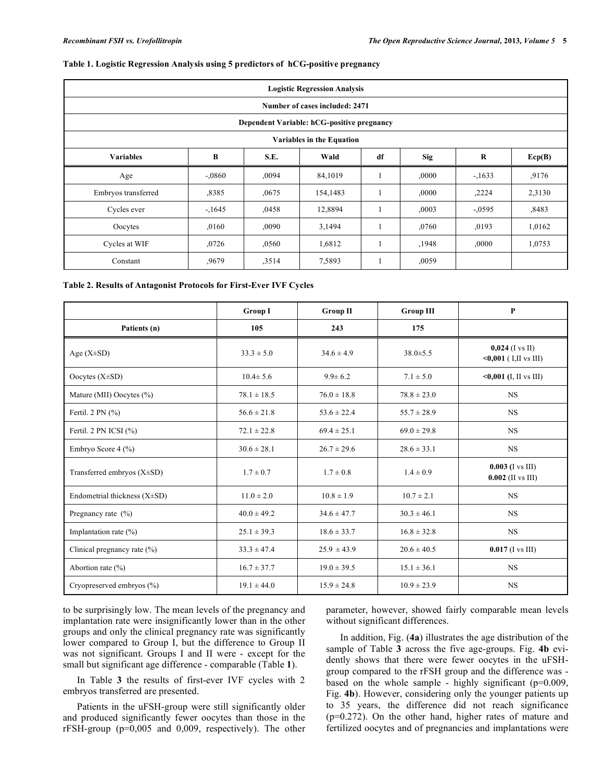#### **Table 1. Logistic Regression Analysis using 5 predictors of hCG-positive pregnancy**

| <b>Logistic Regression Analysis</b> |                                            |       |          |    |            |          |        |  |  |
|-------------------------------------|--------------------------------------------|-------|----------|----|------------|----------|--------|--|--|
| Number of cases included: 2471      |                                            |       |          |    |            |          |        |  |  |
|                                     | Dependent Variable: hCG-positive pregnancy |       |          |    |            |          |        |  |  |
|                                     | Variables in the Equation                  |       |          |    |            |          |        |  |  |
| <b>Variables</b>                    | B                                          | S.E.  | Wald     | df | <b>Sig</b> | $\bf R$  | Ecp(B) |  |  |
| Age                                 | $-.0860$                                   | ,0094 | 84,1019  |    | ,0000      | $-1633$  | ,9176  |  |  |
| Embryos transferred                 | ,8385                                      | ,0675 | 154,1483 |    | ,0000      | ,2224    | 2,3130 |  |  |
| Cycles ever                         | $-1645$                                    | ,0458 | 12,8894  |    | ,0003      | $-.0595$ | ,8483  |  |  |
| Oocytes                             | ,0160                                      | ,0090 | 3,1494   |    | ,0760      | ,0193    | 1,0162 |  |  |
| Cycles at WIF                       | ,0726                                      | ,0560 | 1,6812   |    | ,1948      | ,0000    | 1,0753 |  |  |
| Constant                            | ,9679                                      | ,3514 | 7,5893   |    | ,0059      |          |        |  |  |

#### **Table 2. Results of Antagonist Protocols for First-Ever IVF Cycles**

|                                   | <b>Group I</b>  | <b>Group II</b> | <b>Group III</b> | P                                               |
|-----------------------------------|-----------------|-----------------|------------------|-------------------------------------------------|
| Patients (n)                      | 105             | 243             | 175              |                                                 |
| Age $(X\pm SD)$                   | $33.3 \pm 5.0$  | $34.6 \pm 4.9$  | $38.0 \pm 5.5$   | $0,024$ (I vs II)<br>$\leq 0,001$ (I,II vs III) |
| Oocytes $(X\pm SD)$               | $10.4 \pm 5.6$  | $9.9 \pm 6.2$   | $7.1 \pm 5.0$    | $<0,001$ (I, II vs III)                         |
| Mature (MII) Oocytes (%)          | $78.1 \pm 18.5$ | $76.0 \pm 18.8$ | $78.8 \pm 23.0$  | <b>NS</b>                                       |
| Fertil. $2 \text{ PN } (\% )$     | $56.6 \pm 21.8$ | $53.6 \pm 22.4$ | $55.7 \pm 28.9$  | <b>NS</b>                                       |
| Fertil. 2 PN ICSI $(\% )$         | $72.1 \pm 22.8$ | $69.4 \pm 25.1$ | $69.0 \pm 29.8$  | <b>NS</b>                                       |
| Embryo Score 4 (%)                | $30.6 \pm 28.1$ | $26.7 \pm 29.6$ | $28.6 \pm 33.1$  | <b>NS</b>                                       |
| Transferred embryos (X±SD)        | $1.7 \pm 0.7$   | $1.7 \pm 0.8$   | $1.4 \pm 0.9$    | $0.003$ (I vs III)<br>$0.002$ (II vs III)       |
| Endometrial thickness $(X\pm SD)$ | $11.0 \pm 2.0$  | $10.8 \pm 1.9$  | $10.7 \pm 2.1$   | <b>NS</b>                                       |
| Pregnancy rate $(\% )$            | $40.0 \pm 49.2$ | $34.6 \pm 47.7$ | $30.3 \pm 46.1$  | <b>NS</b>                                       |
| Implantation rate $(\%)$          | $25.1 \pm 39.3$ | $18.6 \pm 33.7$ | $16.8 \pm 32.8$  | <b>NS</b>                                       |
| Clinical pregnancy rate (%)       | $33.3 \pm 47.4$ | $25.9 \pm 43.9$ | $20.6 \pm 40.5$  | $0.017$ (I vs III)                              |
| Abortion rate $(\% )$             | $16.7 \pm 37.7$ | $19.0 \pm 39.5$ | $15.1 \pm 36.1$  | $_{\rm NS}$                                     |
| Cryopreserved embryos (%)         | $19.1 \pm 44.0$ | $15.9 \pm 24.8$ | $10.9 \pm 23.9$  | <b>NS</b>                                       |

to be surprisingly low. The mean levels of the pregnancy and implantation rate were insignificantly lower than in the other groups and only the clinical pregnancy rate was significantly lower compared to Group I, but the difference to Group II was not significant. Groups I and II were - except for the small but significant age difference - comparable (Table **1**).

In Table **3** the results of first-ever IVF cycles with 2 embryos transferred are presented.

Patients in the uFSH-group were still significantly older and produced significantly fewer oocytes than those in the rFSH-group (p=0,005 and 0,009, respectively). The other parameter, however, showed fairly comparable mean levels without significant differences.

In addition, Fig. (**4a**) illustrates the age distribution of the sample of Table **3** across the five age-groups. Fig. **4b** evidently shows that there were fewer oocytes in the uFSHgroup compared to the rFSH group and the difference was based on the whole sample - highly significant (p=0.009, Fig. **4b**). However, considering only the younger patients up to 35 years, the difference did not reach significance (p=0.272). On the other hand, higher rates of mature and fertilized oocytes and of pregnancies and implantations were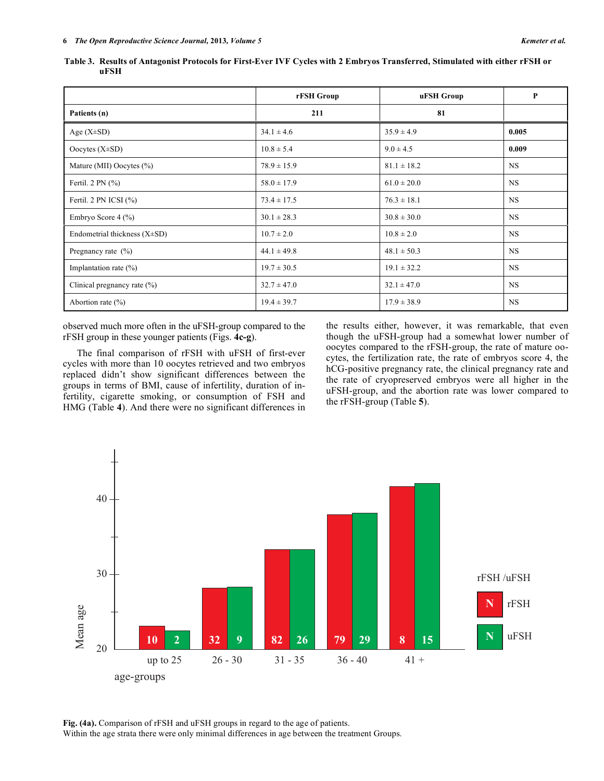|                                   | rFSH Group      | uFSH Group      | P         |
|-----------------------------------|-----------------|-----------------|-----------|
| Patients (n)                      | 211             | 81              |           |
| Age $(X\pm SD)$                   | $34.1 \pm 4.6$  | $35.9 \pm 4.9$  | 0.005     |
| Oocytes $(X\pm SD)$               | $10.8 \pm 5.4$  | $9.0 \pm 4.5$   | 0.009     |
| Mature (MII) Oocytes $(\% )$      | $78.9 \pm 15.9$ | $81.1 \pm 18.2$ | <b>NS</b> |
| Fertil. $2 \text{ PN } (\% )$     | $58.0 \pm 17.9$ | $61.0 \pm 20.0$ | <b>NS</b> |
| Fertil. 2 PN ICSI $(\% )$         | $73.4 \pm 17.5$ | $76.3 \pm 18.1$ | <b>NS</b> |
| Embryo Score 4 (%)                | $30.1 \pm 28.3$ | $30.8 \pm 30.0$ | <b>NS</b> |
| Endometrial thickness $(X\pm SD)$ | $10.7 \pm 2.0$  | $10.8 \pm 2.0$  | <b>NS</b> |
| Pregnancy rate $(\% )$            | $44.1 \pm 49.8$ | $48.1 \pm 50.3$ | <b>NS</b> |
| Implantation rate $(\% )$         | $19.7 \pm 30.5$ | $19.1 \pm 32.2$ | <b>NS</b> |
| Clinical pregnancy rate $(\% )$   | $32.7 \pm 47.0$ | $32.1 \pm 47.0$ | <b>NS</b> |
| Abortion rate $(\% )$             | $19.4 \pm 39.7$ | $17.9 \pm 38.9$ | <b>NS</b> |

**Table 3. Results of Antagonist Protocols for First-Ever IVF Cycles with 2 Embryos Transferred, Stimulated with either rFSH or uFSH**

observed much more often in the uFSH-group compared to the rFSH group in these younger patients (Figs. **4c-g**).

The final comparison of rFSH with uFSH of first-ever cycles with more than 10 oocytes retrieved and two embryos replaced didn't show significant differences between the groups in terms of BMI, cause of infertility, duration of infertility, cigarette smoking, or consumption of FSH and HMG (Table **4**). And there were no significant differences in the results either, however, it was remarkable, that even though the uFSH-group had a somewhat lower number of oocytes compared to the rFSH-group, the rate of mature oocytes, the fertilization rate, the rate of embryos score 4, the hCG-positive pregnancy rate, the clinical pregnancy rate and the rate of cryopreserved embryos were all higher in the uFSH-group, and the abortion rate was lower compared to the rFSH-group (Table **5**).



**Fig. (4a).** Comparison of rFSH and uFSH groups in regard to the age of patients. Within the age strata there were only minimal differences in age between the treatment Groups.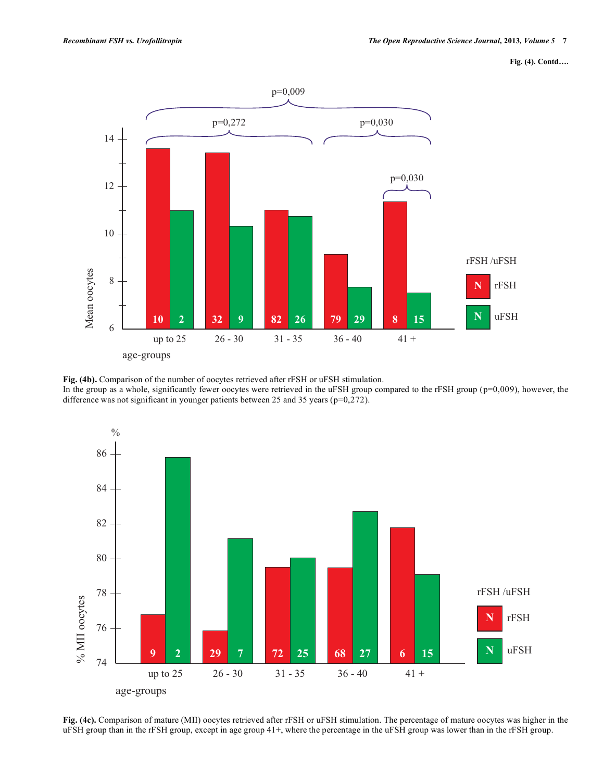```
Fig. (4). Contd….
```


**Fig. (4b).** Comparison of the number of oocytes retrieved after rFSH or uFSH stimulation. In the group as a whole, significantly fewer oocytes were retrieved in the uFSH group compared to the rFSH group (p=0,009), however, the difference was not significant in younger patients between 25 and 35 years (p=0,272).



**Fig. (4c).** Comparison of mature (MII) oocytes retrieved after rFSH or uFSH stimulation. The percentage of mature oocytes was higher in the uFSH group than in the rFSH group, except in age group 41+, where the percentage in the uFSH group was lower than in the rFSH group.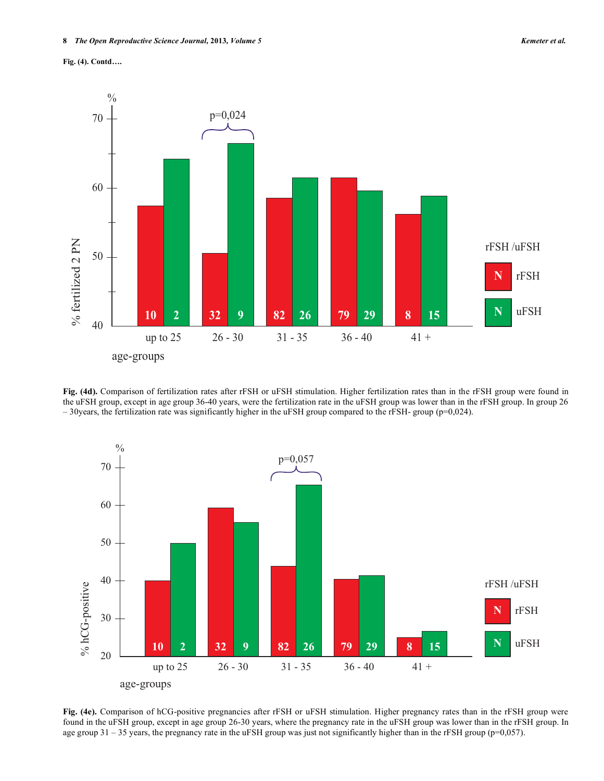



**Fig. (4d).** Comparison of fertilization rates after rFSH or uFSH stimulation. Higher fertilization rates than in the rFSH group were found in the uFSH group, except in age group 36-40 years, were the fertilization rate in the uFSH group was lower than in the rFSH group. In group 26  $-30$ years, the fertilization rate was significantly higher in the uFSH group compared to the rFSH- group (p=0,024).



**Fig. (4e).** Comparison of hCG-positive pregnancies after rFSH or uFSH stimulation. Higher pregnancy rates than in the rFSH group were found in the uFSH group, except in age group 26-30 years, where the pregnancy rate in the uFSH group was lower than in the rFSH group. In age group 31 – 35 years, the pregnancy rate in the uFSH group was just not significantly higher than in the rFSH group (p=0,057).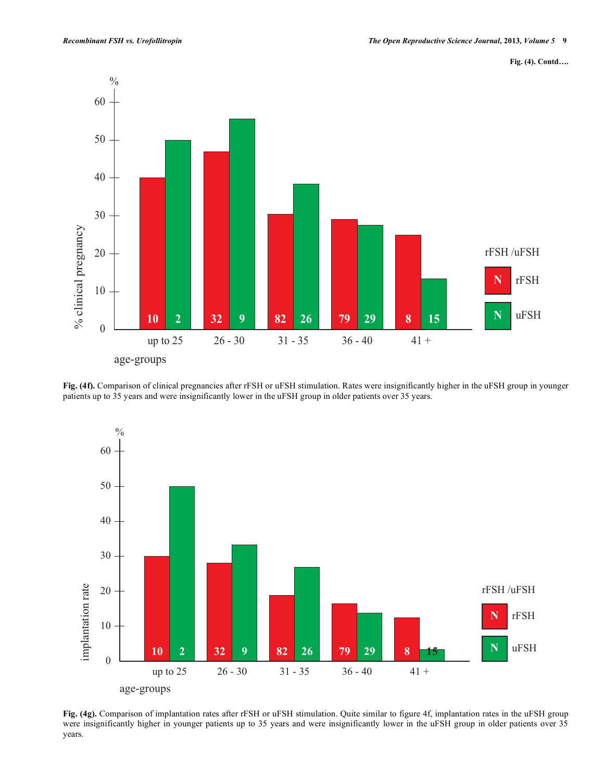



**Fig. (4f).** Comparison of clinical pregnancies after rFSH or uFSH stimulation. Rates were insignificantly higher in the uFSH group in younger patients up to 35 years and were insignificantly lower in the uFSH group in older patients over 35 years.



**Fig. (4g).** Comparison of implantation rates after rFSH or uFSH stimulation. Quite similar to figure 4f, implantation rates in the uFSH group were insignificantly higher in younger patients up to 35 years and were insignificantly lower in the uFSH group in older patients over 35 years.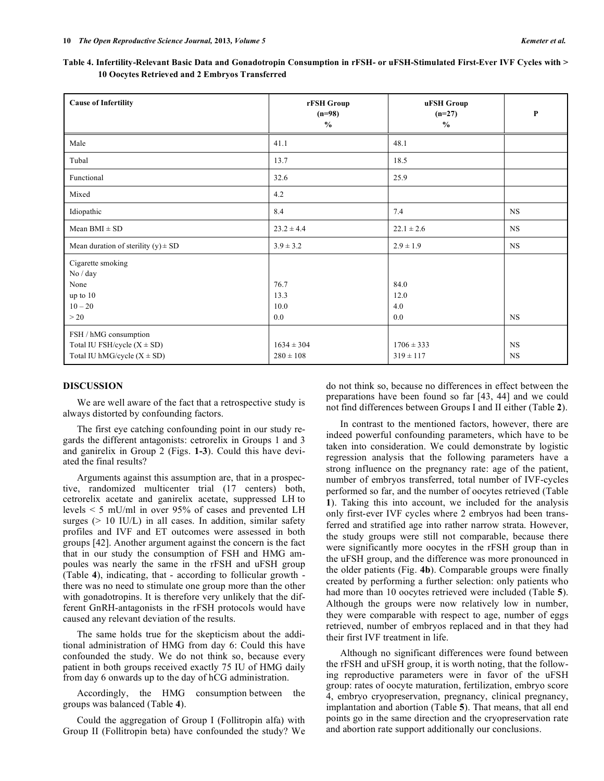|                                                | Table 4. Infertility-Relevant Basic Data and Gonadotropin Consumption in rFSH- or uFSH-Stimulated First-Ever IVF Cycles with > |
|------------------------------------------------|--------------------------------------------------------------------------------------------------------------------------------|
| 10 Oocytes Retrieved and 2 Embryos Transferred |                                                                                                                                |

| <b>Cause of Infertility</b>                                                                 | rFSH Group<br>$(n=98)$<br>$\frac{0}{0}$ | uFSH Group<br>$(n=27)$<br>$\frac{0}{0}$ | P                      |
|---------------------------------------------------------------------------------------------|-----------------------------------------|-----------------------------------------|------------------------|
| Male                                                                                        | 41.1                                    | 48.1                                    |                        |
| Tubal                                                                                       | 13.7                                    | 18.5                                    |                        |
| Functional                                                                                  | 32.6                                    | 25.9                                    |                        |
| Mixed                                                                                       | 4.2                                     |                                         |                        |
| Idiopathic                                                                                  | 8.4                                     | 7.4                                     | $_{\rm NS}$            |
| Mean $BMI \pm SD$                                                                           | $23.2 \pm 4.4$                          | $22.1 \pm 2.6$                          | <b>NS</b>              |
| Mean duration of sterility $(y) \pm SD$                                                     | $3.9 \pm 3.2$                           | $2.9 \pm 1.9$                           | <b>NS</b>              |
| Cigarette smoking<br>No / day<br>None<br>up to 10<br>$10 - 20$<br>>20                       | 76.7<br>13.3<br>10.0<br>0.0             | 84.0<br>12.0<br>4.0<br>0.0              | <b>NS</b>              |
| FSH / hMG consumption<br>Total IU FSH/cycle $(X \pm SD)$<br>Total IU hMG/cycle $(X \pm SD)$ | $1634 \pm 304$<br>$280 \pm 108$         | $1706 \pm 333$<br>$319 \pm 117$         | <b>NS</b><br><b>NS</b> |

#### **DISCUSSION**

We are well aware of the fact that a retrospective study is always distorted by confounding factors.

The first eye catching confounding point in our study regards the different antagonists: cetrorelix in Groups 1 and 3 and ganirelix in Group 2 (Figs. **1-3**). Could this have deviated the final results?

Arguments against this assumption are, that in a prospective, randomized multicenter trial (17 centers) both, cetrorelix acetate and ganirelix acetate, suppressed LH to levels < 5 mU/ml in over 95% of cases and prevented LH surges (> 10 IU/L) in all cases. In addition, similar safety profiles and IVF and ET outcomes were assessed in both groups [42]. Another argument against the concern is the fact that in our study the consumption of FSH and HMG ampoules was nearly the same in the rFSH and uFSH group (Table **4**), indicating, that - according to follicular growth there was no need to stimulate one group more than the other with gonadotropins. It is therefore very unlikely that the different GnRH-antagonists in the rFSH protocols would have caused any relevant deviation of the results.

The same holds true for the skepticism about the additional administration of HMG from day 6: Could this have confounded the study. We do not think so, because every patient in both groups received exactly 75 IU of HMG daily from day 6 onwards up to the day of hCG administration.

Accordingly, the HMG consumption between the groups was balanced (Table **4**).

Could the aggregation of Group I (Follitropin alfa) with Group II (Follitropin beta) have confounded the study? We do not think so, because no differences in effect between the preparations have been found so far [43, 44] and we could not find differences between Groups I and II either (Table **2**).

In contrast to the mentioned factors, however, there are indeed powerful confounding parameters, which have to be taken into consideration. We could demonstrate by logistic regression analysis that the following parameters have a strong influence on the pregnancy rate: age of the patient, number of embryos transferred, total number of IVF-cycles performed so far, and the number of oocytes retrieved (Table **1**). Taking this into account, we included for the analysis only first-ever IVF cycles where 2 embryos had been transferred and stratified age into rather narrow strata. However, the study groups were still not comparable, because there were significantly more oocytes in the rFSH group than in the uFSH group, and the difference was more pronounced in the older patients (Fig. **4b**). Comparable groups were finally created by performing a further selection: only patients who had more than 10 oocytes retrieved were included (Table **5**). Although the groups were now relatively low in number, they were comparable with respect to age, number of eggs retrieved, number of embryos replaced and in that they had their first IVF treatment in life.

Although no significant differences were found between the rFSH and uFSH group, it is worth noting, that the following reproductive parameters were in favor of the uFSH group: rates of oocyte maturation, fertilization, embryo score 4, embryo cryopreservation, pregnancy, clinical pregnancy, implantation and abortion (Table **5**). That means, that all end points go in the same direction and the cryopreservation rate and abortion rate support additionally our conclusions.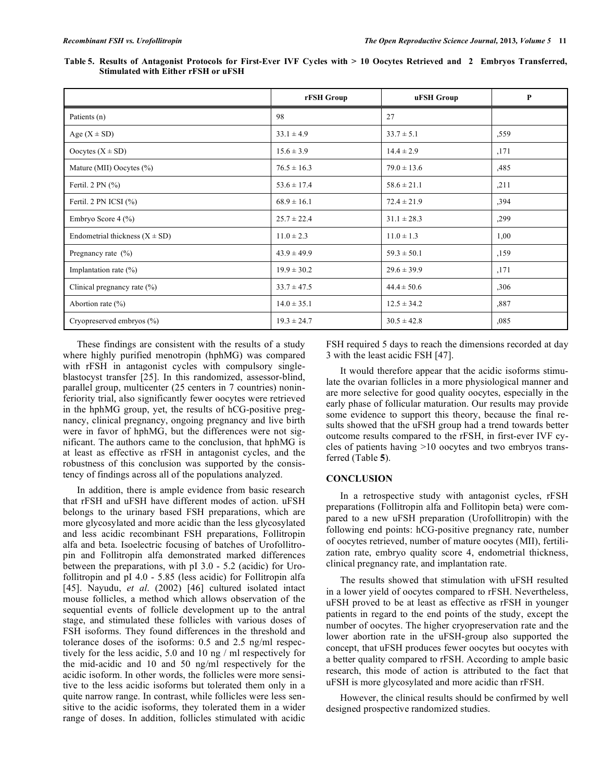Table 5. Results of Antagonist Protocols for First-Ever IVF Cycles with > 10 Oocytes Retrieved and 2 Embryos Transferred, **Stimulated with Either rFSH or uFSH**

|                                    | rFSH Group      | uFSH Group      | P    |
|------------------------------------|-----------------|-----------------|------|
| Patients (n)                       | 98              | 27              |      |
| Age $(X \pm SD)$                   | $33.1 \pm 4.9$  | $33.7 \pm 5.1$  | ,559 |
| Oocytes $(X \pm SD)$               | $15.6 \pm 3.9$  | $14.4 \pm 2.9$  | ,171 |
| Mature (MII) Oocytes (%)           | $76.5 \pm 16.3$ | $79.0 \pm 13.6$ | ,485 |
| Fertil. $2 \text{ PN } (\% )$      | $53.6 \pm 17.4$ | $58.6 \pm 21.1$ | ,211 |
| Fertil. 2 PN ICSI $(\% )$          | $68.9 \pm 16.1$ | $72.4 \pm 21.9$ | ,394 |
| Embryo Score 4 (%)                 | $25.7 \pm 22.4$ | $31.1 \pm 28.3$ | ,299 |
| Endometrial thickness $(X \pm SD)$ | $11.0 \pm 2.3$  | $11.0 \pm 1.3$  | 1,00 |
| Pregnancy rate $(\% )$             | $43.9 \pm 49.9$ | $59.3 \pm 50.1$ | ,159 |
| Implantation rate $(\%)$           | $19.9 \pm 30.2$ | $29.6 \pm 39.9$ | ,171 |
| Clinical pregnancy rate $(\% )$    | $33.7 \pm 47.5$ | $44.4 \pm 50.6$ | ,306 |
| Abortion rate $(\% )$              | $14.0 \pm 35.1$ | $12.5 \pm 34.2$ | ,887 |
| Cryopreserved embryos (%)          | $19.3 \pm 24.7$ | $30.5 \pm 42.8$ | ,085 |

These findings are consistent with the results of a study where highly purified menotropin (hphMG) was compared with rFSH in antagonist cycles with compulsory singleblastocyst transfer [25]. In this randomized, assessor-blind, parallel group, multicenter (25 centers in 7 countries) noninferiority trial, also significantly fewer oocytes were retrieved in the hphMG group, yet, the results of hCG-positive pregnancy, clinical pregnancy, ongoing pregnancy and live birth were in favor of hphMG, but the differences were not significant. The authors came to the conclusion, that hphMG is at least as effective as rFSH in antagonist cycles, and the robustness of this conclusion was supported by the consistency of findings across all of the populations analyzed.

In addition, there is ample evidence from basic research that rFSH and uFSH have different modes of action. uFSH belongs to the urinary based FSH preparations, which are more glycosylated and more acidic than the less glycosylated and less acidic recombinant FSH preparations, Follitropin alfa and beta. Isoelectric focusing of batches of Urofollitropin and Follitropin alfa demonstrated marked differences between the preparations, with pI 3.0 - 5.2 (acidic) for Urofollitropin and pI 4.0 - 5.85 (less acidic) for Follitropin alfa [45]. Nayudu, *et al*. (2002) [46] cultured isolated intact mouse follicles, a method which allows observation of the sequential events of follicle development up to the antral stage, and stimulated these follicles with various doses of FSH isoforms. They found differences in the threshold and tolerance doses of the isoforms: 0.5 and 2.5 ng/ml respectively for the less acidic, 5.0 and 10 ng / ml respectively for the mid-acidic and 10 and 50 ng/ml respectively for the acidic isoform. In other words, the follicles were more sensitive to the less acidic isoforms but tolerated them only in a quite narrow range. In contrast, while follicles were less sensitive to the acidic isoforms, they tolerated them in a wider range of doses. In addition, follicles stimulated with acidic

FSH required 5 days to reach the dimensions recorded at day 3 with the least acidic FSH [47].

It would therefore appear that the acidic isoforms stimulate the ovarian follicles in a more physiological manner and are more selective for good quality oocytes, especially in the early phase of follicular maturation. Our results may provide some evidence to support this theory, because the final results showed that the uFSH group had a trend towards better outcome results compared to the rFSH, in first-ever IVF cycles of patients having >10 oocytes and two embryos transferred (Table **5**).

#### **CONCLUSION**

In a retrospective study with antagonist cycles, rFSH preparations (Follitropin alfa and Follitopin beta) were compared to a new uFSH preparation (Urofollitropin) with the following end points: hCG-positive pregnancy rate, number of oocytes retrieved, number of mature oocytes (MII), fertilization rate, embryo quality score 4, endometrial thickness, clinical pregnancy rate, and implantation rate.

The results showed that stimulation with uFSH resulted in a lower yield of oocytes compared to rFSH. Nevertheless, uFSH proved to be at least as effective as rFSH in younger patients in regard to the end points of the study, except the number of oocytes. The higher cryopreservation rate and the lower abortion rate in the uFSH-group also supported the concept, that uFSH produces fewer oocytes but oocytes with a better quality compared to rFSH. According to ample basic research, this mode of action is attributed to the fact that uFSH is more glycosylated and more acidic than rFSH.

However, the clinical results should be confirmed by well designed prospective randomized studies.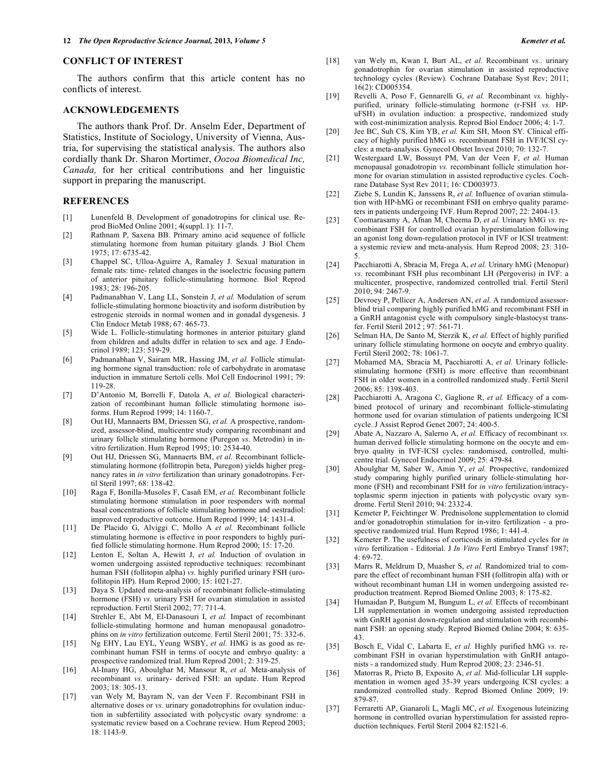#### **CONFLICT OF INTEREST**

The authors confirm that this article content has no conflicts of interest.

#### **ACKNOWLEDGEMENTS**

The authors thank Prof. Dr. Anselm Eder, Department of Statistics, Institute of Sociology, University of Vienna, Austria, for supervising the statistical analysis. The authors also cordially thank Dr. Sharon Mortimer, *Oozoa Biomedical Inc, Canada,* for her critical contributions and her linguistic support in preparing the manuscript.

#### **REFERENCES**

- [1] Lunenfeld B. Development of gonadotropins for clinical use. Reprod BioMed Online 2001; 4(suppl. 1): 11-7.
- [2] Rathnam P, Saxena BB. Primary amino acid sequence of follicle stimulating hormone from human pituitary glands. J Biol Chem 1975; 17: 6735-42.
- [3] Chappel SC, Ulloa-Aguirre A, Ramaley J. Sexual maturation in female rats: time- related changes in the isoelectric focusing pattern of anterior pituitary follicle-stimulating hormone. Biol Reprod 1983; 28: 196-205.
- [4] Padmanabhan V, Lang LL, Sonstein J, *et al.* Modulation of serum follicle-stimulating hormone bioactivity and isoform distribution by estrogenic steroids in normal women and in gonadal dysgenesis. J Clin Endocr Metab 1988; 67: 465-73.
- [5] Wide L. Follicle-stimulating hormones in anterior pituitary gland from children and adults differ in relation to sex and age. J Endocrinol 1989; 123: 519-29.
- [6] Padmanabhan V, Sairam MR, Hassing JM, *et al.* Follicle stimulating hormone signal transduction: role of carbohydrate in aromatase induction in immature Sertoli cells. Mol Cell Endocrinol 1991; 79: 119-28.
- [7] D'Antonio M, Borrelli F, Datola A, *et al.* Biological characterization of recombinant human follicle stimulating hormone isoforms. Hum Reprod 1999; 14: 1160-7.
- [8] Out HJ, Mannaerts BM, Driessen SG, *et al.* A prospective, randomized, assessor-blind, multicentre study comparing recombinant and urinary follicle stimulating hormone (Puregon *vs.* Metrodin) in invitro fertilization. Hum Reprod 1995; 10: 2534-40.
- [9] Out HJ, Driessen SG, Mannaerts BM, *et al.* Recombinant folliclestimulating hormone (follitropin beta, Puregon) yields higher pregnancy rates in *in vitro* fertilization than urinary gonadotropins. Fertil Steril 1997; 68: 138-42.
- [10] Raga F, Bonilla-Musoles F, Casañ EM, *et al.* Recombinant follicle stimulating hormone stimulation in poor responders with normal basal concentrations of follicle stimulating hormone and oestradiol: improved reproductive outcome. Hum Reprod 1999; 14: 1431-4.
- [11] De Placido G, Alviggi C, Mollo A *et al.* Recombinant follicle stimulating hormone is effective in poor responders to highly purified follicle stimulating hormone. Hum Reprod 2000; 15: 17-20.
- [12] Lenton E, Soltan A, Hewitt J, *et al.* Induction of ovulation in women undergoing assisted reproductive techniques: recombinant human FSH (follitopin alpha) *vs.* highly purified urinary FSH (urofollitopin HP). Hum Reprod 2000; 15: 1021-27.
- [13] Daya S. Updated meta-analysis of recombinant follicle-stimulating hormone (FSH) *vs.* urinary FSH for ovarian stimulation in assisted reproduction. Fertil Steril 2002; 77: 711-4.
- [14] Strehler E, Abt M, El-Danasouri I, *et al.* Impact of recombinant follicle-stimulating hormone and human menopausal gonadotrophins on *in vitro* fertilization outcome. Fertil Steril 2001; 75: 332-6.
- [15] Ng EHY, Lau EYL, Yeung WSBY, *et al.* HMG is as good as recombinant human FSH in terms of oocyte and embryo quality: a prospective randomized trial. Hum Reprod 2001; 2: 319-25.
- [16] Al-Inany HG, Aboulghar M, Mansour R, *et al.* Meta-analysis of recombinant *vs.* urinary- derived FSH: an update. Hum Reprod 2003; 18: 305-13.
- [17] van Wely M, Bayram N, van der Veen F. Recombinant FSH in alternative doses or *vs.* urinary gonadotrophins for ovulation induction in subfertility associated with polycystic ovary syndrome: a systematic review based on a Cochrane review. Hum Reprod 2003; 18: 1143-9.
- [18] van Wely m, Kwan I, Burt AL, *et al.* Recombinant *vs..* urinary gonadotrophin for ovarian stimulation in assisted reproductive technology cycles (Review). Cochrane Database Syst Rev; 2011; 16(2): CD005354.
- [19] Revelli A, Poso F, Gennarelli G, *et al.* Recombinant *vs.* highlypurified, urinary follicle-stimulating hormone (r-FSH *vs.* HPuFSH) in ovulation induction: a prospective, randomized study with cost-minimization analysis. Reprod Biol Endocr 2006; 4: 1-7.
- [20] Jee BC, Suh CS, Kim YB, *et al.* Kim SH, Moon SY. Clinical efficacy of highly purified hMG *vs.* recombinant FSH in IVF/ICSI cycles: a meta-analysis. Gynecol Obstet Invest 2010; 70: 132-7.
- [21] Westergaard LW, Bossuyt PM, Van der Veen F, *et al.* Human menopausal gonadotropin *vs.* recombinant follicle stimulation hormone for ovarian stimulation in assisted reproductive cycles. Cochrane Database Syst Rev 2011; 16: CD003973.
- [22] Ziebe S, Lundin K, Janssens R, *et al.* Influence of ovarian stimulation with HP-hMG or recombinant FSH on embryo quality parameters in patients undergoing IVF. Hum Reprod 2007; 22: 2404-13.
- [23] Coomarasamy A, Afnan M, Cheema D, *et al.* Urinary hMG *vs.* recombinant FSH for controlled ovarian hyperstimulation following an agonist long down-regulation protocol in IVF or ICSI treatment: a systemic review and meta-analysis. Hum Reprod 2008; 23: 310- 5.
- [24] Pacchiarotti A, Sbracia M, Frega A, *et al.* Urinary hMG (Menopur) *vs.* recombinant FSH plus recombinant LH (Pergoveris) in IVF: a multicenter, prospective, randomized controlled trial. Fertil Steril 2010; 94: 2467-9.
- [25] Devroey P, Pellicer A, Andersen AN, *et al.* A randomized assessorblind trial comparing highly purified hMG and recombinant FSH in a GnRH antagonist cycle with compulsory single-blastocyst transfer. Fertil Steril 2012 ; 97: 561-71.
- [26] Selman HA, De Santo M, Sterzik K, *et al.* Effect of highly purified urinary follicle stimulating hormone on oocyte and embryo quality. Fertil Steril 2002; 78: 1061-7.
- [27] Mohamed MA, Sbracia M, Pacchiarotti A, *et al.* Urinary folliclestimulating hormone (FSH) is more effective than recombinant FSH in older women in a controlled randomized study. Fertil Steril 2006; 85: 1398-403.
- [28] Pacchiarotti A, Aragona C, Gaglione R, *et al.* Efficacy of a combined protocol of urinary and recombinant follicle-stimulating hormone used for ovarian stimulation of patients undergoing ICSI cycle. J Assist Reprod Genet 2007; 24: 400-5.
- [29] Abate A, Nazzaro A, Salerno A, *et al.* Efficacy of recombinant *vs.* human derived follicle stimulating hormone on the oocyte and embryo quality in IVF-ICSI cycles: randomised, controlled, multicentre trial. Gynecol Endocrinol 2009; 25: 479-84.
- [30] Aboulghar M, Saber W, Amin Y, *et al.* Prospective, randomized study comparing highly purified urinary follicle-stimulating hormone (FSH) and recombinant FSH for *in vitro* fertilization/intracytoplasmic sperm injection in patients with polycystic ovary syndrome. Fertil Steril 2010; 94: 2332-4.
- [31] Kemeter P, Feichtinger W. Prednisolone supplementation to clomid and/or gonadotrophin stimulation for in-vitro fertilization - a prospective randomized trial. Hum Reprod 1986; 1: 441-4.
- [32] Kemeter P. The usefulness of corticoids in stimulated cycles for *in vitro* fertilization - Editorial. J *In Vitro* Fertl Embryo Transf 1987;  $4.69 - 72$
- [33] Marrs R, Meldrum D, Muasher S, *et al.* Randomized trial to compare the effect of recombinant human FSH (follitropin alfa) with or without recombinant human LH in women undergoing assisted reproduction treatment. Reprod Biomed Online 2003; 8: 175-82.
- [34] Humaidan P, Bungum M, Bungum L, *et al.* Effects of recombinant LH supplementation in women undergoing assisted reproduction with GnRH agonist down-regulation and stimulation with recombinant FSH: an opening study. Reprod Biomed Online 2004; 8: 635- 43.
- [35] Bosch E, Vidal C, Labarta E, *et al.* Highly purified hMG *vs.* recombinant FSH in ovarian hyperstimulation with GnRH antagonists - a randomized study. Hum Reprod 2008; 23: 2346-51.
- [36] Matorras R, Prieto B, Exposito A, *et al.* Mid-follicular LH supplementation in women aged 35-39 years undergoing ICSI cycles: a randomized controlled study. Reprod Biomed Online 2009; 19: 879-87.
- [37] Ferraretti AP, Gianaroli L, Magli MC, *et al.* Exogenous luteinizing hormone in controlled ovarian hyperstimulation for assisted reproduction techniques. Fertil Steril 2004 82:1521-6.